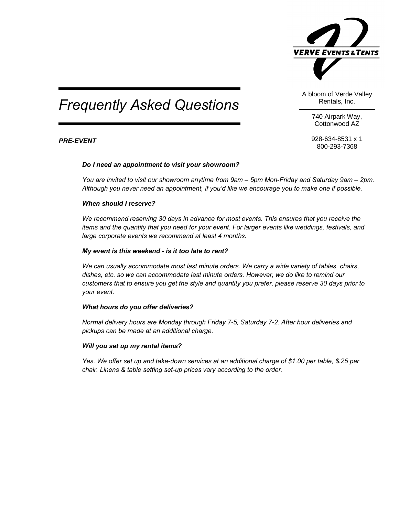

# *Frequently Asked Questions*

A bloom of Verde Valley Rentals, Inc.

> 740 Airpark Way, Cottonwood AZ

928-634-8531 x 1 800-293-7368

# *PRE-EVENT*

### *Do I need an appointment to visit your showroom?*

*You are invited to visit our showroom anytime from 9am – 5pm Mon-Friday and Saturday 9am – 2pm. Although you never need an appointment, if you'd like we encourage you to make one if possible.*

### *When should I reserve?*

*We recommend reserving 30 days in advance for most events. This ensures that you receive the items and the quantity that you need for your event. For larger events like weddings, festivals, and large corporate events we recommend at least 4 months.* 

# *My event is this weekend - is it too late to rent?*

*We can usually accommodate most last minute orders. We carry a wide variety of tables, chairs, dishes, etc. so we can accommodate last minute orders. However, we do like to remind our customers that to ensure you get the style and quantity you prefer, please reserve 30 days prior to your event.*

# *What hours do you offer deliveries?*

*Normal delivery hours are Monday through Friday 7-5, Saturday 7-2. After hour deliveries and pickups can be made at an additional charge.* 

### *Will you set up my rental items?*

*Yes, We offer set up and take-down services at an additional charge of \$1.00 per table, \$.25 per chair. Linens & table setting set-up prices vary according to the order.*